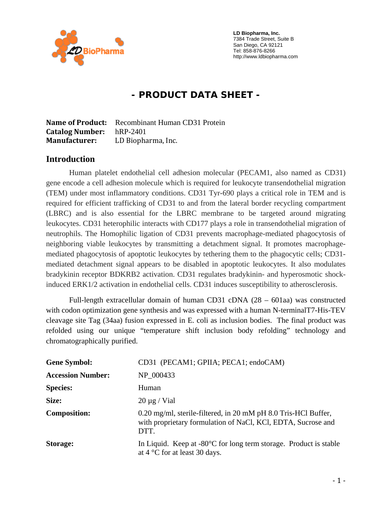

 **LD Biopharma, Inc.**  7384 Trade Street, Suite B San Diego, CA 92121 Tel: 858-876-8266 http://www.ldbiopharma.com

# **- PRODUCT DATA SHEET -**

**Name of Product:** Recombinant Human CD31 Protein **Catalog Number:** hRP-2401 **Manufacturer:** LD Biopharma, Inc.

#### **Introduction**

Human platelet endothelial cell adhesion molecular (PECAM1, also named as CD31) gene encode a cell adhesion molecule which is required for leukocyte transendothelial migration (TEM) under most inflammatory conditions. CD31 Tyr-690 plays a critical role in TEM and is required for efficient trafficking of CD31 to and from the lateral border recycling compartment (LBRC) and is also essential for the LBRC membrane to be targeted around migrating leukocytes. CD31 heterophilic interacts with CD177 plays a role in transendothelial migration of neutrophils. The Homophilic ligation of CD31 prevents macrophage-mediated phagocytosis of neighboring viable leukocytes by transmitting a detachment signal. It promotes macrophagemediated phagocytosis of apoptotic leukocytes by tethering them to the phagocytic cells; CD31 mediated detachment signal appears to be disabled in apoptotic leukocytes. It also modulates bradykinin receptor BDKRB2 activation. CD31 regulates bradykinin- and hyperosmotic shockinduced ERK1/2 activation in endothelial cells. CD31 induces susceptibility to atherosclerosis.

Full-length extracellular domain of human CD31 cDNA (28 – 601aa) was constructed with codon optimization gene synthesis and was expressed with a human N-terminalT7-His-TEV cleavage site Tag (34aa) fusion expressed in E. coli as inclusion bodies. The final product was refolded using our unique "temperature shift inclusion body refolding" technology and chromatographically purified.

| <b>Gene Symbol:</b>      | CD31 (PECAM1; GPIIA; PECA1; endoCAM)                                                                                                   |
|--------------------------|----------------------------------------------------------------------------------------------------------------------------------------|
| <b>Accession Number:</b> | NP 000433                                                                                                                              |
| <b>Species:</b>          | Human                                                                                                                                  |
| Size:                    | $20 \mu g$ / Vial                                                                                                                      |
| <b>Composition:</b>      | 0.20 mg/ml, sterile-filtered, in 20 mM pH 8.0 Tris-HCl Buffer,<br>with proprietary formulation of NaCl, KCl, EDTA, Sucrose and<br>DTT. |
| <b>Storage:</b>          | In Liquid. Keep at $-80^{\circ}$ C for long term storage. Product is stable<br>at 4 $\degree$ C for at least 30 days.                  |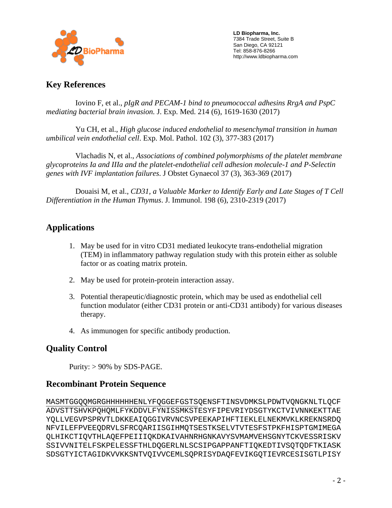

 **LD Biopharma, Inc.**  7384 Trade Street, Suite B San Diego, CA 92121 Tel: 858-876-8266 http://www.ldbiopharma.com

#### **Key References**

 Iovino F, et al., *pIgR and PECAM-1 bind to pneumococcal adhesins RrgA and PspC mediating bacterial brain invasion.* J. Exp. Med. 214 (6), 1619-1630 (2017)

 Yu CH, et al., *High glucose induced endothelial to mesenchymal transition in human umbilical vein endothelial cell*. Exp. Mol. Pathol. 102 (3), 377-383 (2017)

 Vlachadis N, et al., *Associations of combined polymorphisms of the platelet membrane glycoproteins Ia and IIIa and the platelet-endothelial cell adhesion molecule-1 and P-Selectin genes with IVF implantation failures*. J Obstet Gynaecol 37 (3), 363-369 (2017)

 Douaisi M, et al., *CD31, a Valuable Marker to Identify Early and Late Stages of T Cell Differentiation in the Human Thymus*. J. Immunol. 198 (6), 2310-2319 (2017)

### **Applications**

- 1. May be used for in vitro CD31 mediated leukocyte trans-endothelial migration (TEM) in inflammatory pathway regulation study with this protein either as soluble factor or as coating matrix protein.
- 2. May be used for protein-protein interaction assay.
- 3. Potential therapeutic/diagnostic protein, which may be used as endothelial cell function modulator (either CD31 protein or anti-CD31 antibody) for various diseases therapy.
- 4. As immunogen for specific antibody production.

## **Quality Control**

Purity:  $> 90\%$  by SDS-PAGE.

### **Recombinant Protein Sequence**

MASMTGGQQMGRGHHHHHHENLYFQGGEFGSTSQENSFTINSVDMKSLPDWTVQNGKNLTLQCF ADVSTTSHVKPQHQMLFYKDDVLFYNISSMKSTESYFIPEVRIYDSGTYKCTVIVNNKEKTTAE YQLLVEGVPSPRVTLDKKEAIQGGIVRVNCSVPEEKAPIHFTIEKLELNEKMVKLKREKNSRDQ NFVILEFPVEEQDRVLSFRCQARIISGIHMQTSESTKSELVTVTESFSTPKFHISPTGMIMEGA QLHIKCTIQVTHLAQEFPEIIIQKDKAIVAHNRHGNKAVYSVMAMVEHSGNYTCKVESSRISKV SSIVVNITELFSKPELESSFTHLDQGERLNLSCSIPGAPPANFTIQKEDTIVSQTQDFTKIASK SDSGTYICTAGIDKVVKKSNTVQIVVCEMLSQPRISYDAQFEVIKGQTIEVRCESISGTLPISY